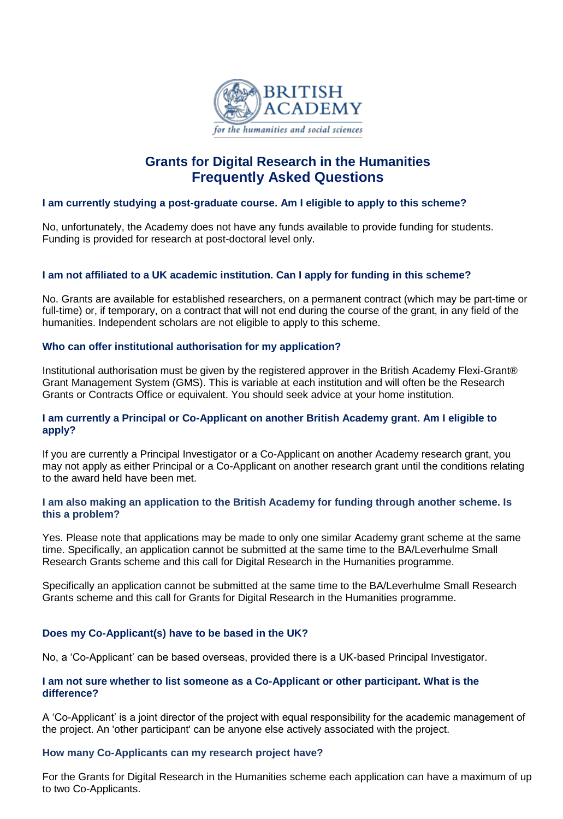

# **Grants for Digital Research in the Humanities Frequently Asked Questions**

## **I am currently studying a post-graduate course. Am I eligible to apply to this scheme?**

No, unfortunately, the Academy does not have any funds available to provide funding for students. Funding is provided for research at post-doctoral level only.

## **I am not affiliated to a UK academic institution. Can I apply for funding in this scheme?**

No. Grants are available for established researchers, on a permanent contract (which may be part-time or full-time) or, if temporary, on a contract that will not end during the course of the grant, in any field of the humanities. Independent scholars are not eligible to apply to this scheme.

## **Who can offer institutional authorisation for my application?**

Institutional authorisation must be given by the registered approver in the British Academy Flexi-Grant® Grant Management System (GMS). This is variable at each institution and will often be the Research Grants or Contracts Office or equivalent. You should seek advice at your home institution.

## **I am currently a Principal or Co-Applicant on another British Academy grant. Am I eligible to apply?**

If you are currently a Principal Investigator or a Co-Applicant on another Academy research grant, you may not apply as either Principal or a Co-Applicant on another research grant until the conditions relating to the award held have been met.

## **I am also making an application to the British Academy for funding through another scheme. Is this a problem?**

Yes. Please note that applications may be made to only one similar Academy grant scheme at the same time. Specifically, an application cannot be submitted at the same time to the BA/Leverhulme Small Research Grants scheme and this call for Digital Research in the Humanities programme.

Specifically an application cannot be submitted at the same time to the BA/Leverhulme Small Research Grants scheme and this call for Grants for Digital Research in the Humanities programme.

## **Does my Co-Applicant(s) have to be based in the UK?**

No, a 'Co-Applicant' can be based overseas, provided there is a UK-based Principal Investigator.

## **I am not sure whether to list someone as a Co-Applicant or other participant. What is the difference?**

A 'Co-Applicant' is a joint director of the project with equal responsibility for the academic management of the project. An 'other participant' can be anyone else actively associated with the project.

## **How many Co-Applicants can my research project have?**

For the Grants for Digital Research in the Humanities scheme each application can have a maximum of up to two Co-Applicants.